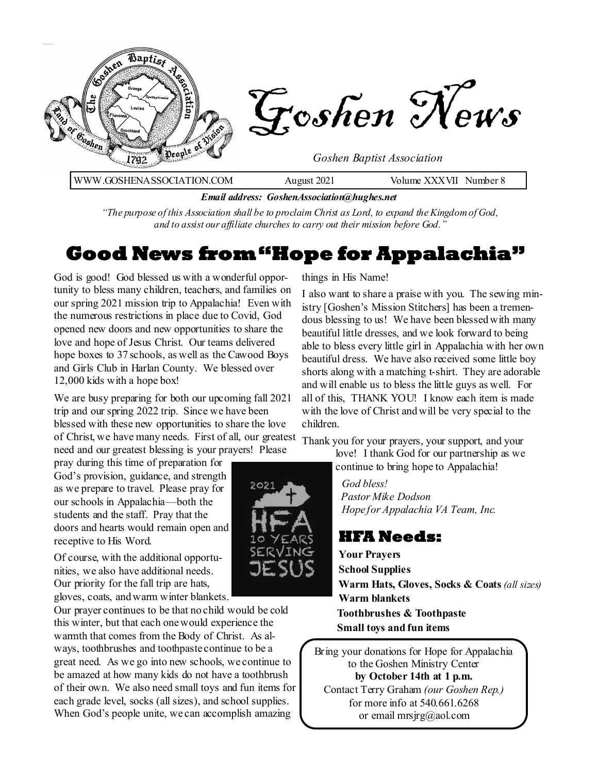

*Email address: GoshenAssociation@hughes.net*

*"The purpose of this Association shall be to proclaim Christ as Lord, to expand the Kingdom of God, and to assist our affiliate churches to carry out their mission before God."*

### **Good News from "Hope for Appalachia"**

God is good! God blessed us with a wonderful opportunity to bless many children, teachers, and families on our spring 2021 mission trip to Appalachia! Even with the numerous restrictions in place due to Covid, God opened new doors and new opportunities to share the love and hope of Jesus Christ. Our teams delivered hope boxes to 37 schools, as well as the Cawood Boys and Girls Club in Harlan County. We blessed over 12,000 kids with a hope box!

We are busy preparing for both our upcoming fall 2021 trip and our spring 2022 trip. Since we have been blessed with these new opportunities to share the love of Christ, we have many needs. First of all, our greatest need and our greatest blessing is your prayers! Please

pray during this time of preparation for God's provision, guidance, and strength as we prepare to travel. Please pray for our schools in Appalachia—both the students and the staff. Pray that the doors and hearts would remain open and receptive to His Word.

Of course, with the additional opportunities, we also have additional needs. Our priority for the fall trip are hats, gloves, coats, and warm winter blankets.

Our prayer continues to be that no child would be cold this winter, but that each one would experience the warmth that comes from the Body of Christ. As always, toothbrushes and toothpaste continue to be a great need. As we go into new schools, we continue to be amazed at how many kids do not have a toothbrush of their own. We also need small toys and fun items for each grade level, socks (all sizes), and school supplies. When God's people unite, we can accomplish amazing

things in His Name!

I also want to share a praise with you. The sewing ministry [Goshen's Mission Stitchers] has been a tremendous blessing to us! We have been blessed with many beautiful little dresses, and we look forward to being able to bless every little girl in Appalachia with her own beautiful dress. We have also received some little boy shorts along with a matching t-shirt. They are adorable and will enable us to bless the little guys as well. For all of this, THANK YOU! I know each item is made with the love of Christ and will be very special to the children.

Thank you for your prayers, your support, and your

love! I thank God for our partnership as we continue to bring hope to Appalachia!

 *God bless! Pastor Mike Dodson Hope for Appalachia VA Team, Inc.*

### **HFA Needs:**

**Your Prayers School Supplies Warm Hats, Gloves, Socks & Coats** *(all sizes)* **Warm blankets Toothbrushes & Toothpaste Small toys and fun items** 

Bring your donations for Hope for Appalachia to the Goshen Ministry Center **by October 14th at 1 p.m.**  Contact Terry Graham *(our Goshen Rep.)*  for more info at 540.661.6268 or email mrsjrg@aol.com

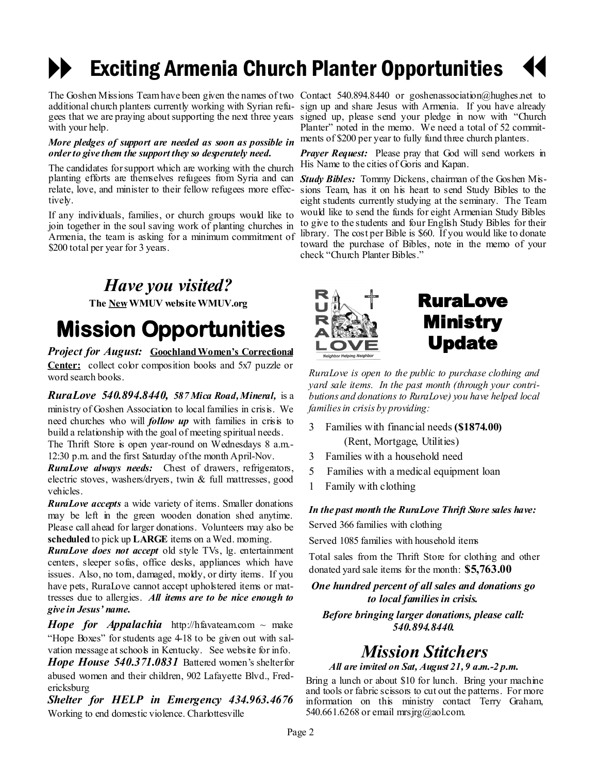### Exciting Armenia Church Planter Opportunities  $\blacklozenge$

gees that we are praying about supporting the next three years with your help.

### *More pledges of support are needed as soon as possible in order to give them the support they so desperately need.*

The candidates for support which are working with the church planting efforts are themselves refugees from Syria and can *Study Bibles:* Tommy Dickens, chairman of the Goshen Misrelate, love, and minister to their fellow refugees more effectively.

If any individuals, families, or church groups would like to join together in the soul saving work of planting churches in Armenia, the team is asking for a minimum commitment of \$200 total per year for 3 years.

### *Have you visited?*

**The NewWMUV website WMUV.org**

# **Mission Opportunities**

*Project for August:* **Goochland Women's Correctional Center:** collect color composition books and 5x7 puzzle or word search books.

*RuraLove 540.894.8440, 587 Mica Road, Mineral,* is a ministry of Goshen Association to local families in crisis. We need churches who will *follow up* with families in crisis to build a relationship with the goal of meeting spiritual needs. The Thrift Store is open year-round on Wednesdays 8 a.m.-

12:30 p.m. and the first Saturday of the month April-Nov.

*RuraLove always needs:* Chest of drawers, refrigerators, electric stoves, washers/dryers, twin & full mattresses, good vehicles.

*RuraLove accepts* a wide variety of items. Smaller donations may be left in the green wooden donation shed anytime. Please call ahead for larger donations. Volunteers may also be **scheduled** to pick up **LARGE** items on a Wed. morning.

*RuraLove does not accept* old style TVs, lg. entertainment centers, sleeper sofas, office desks, appliances which have issues. Also, no tom, damaged, moldy, or dirty items. If you have pets, RuraLove cannot accept upholstered items or mattresses due to allergies. *All items are to be nice enough to give in Jesus' name.* 

*Hope for Appalachia* http://hfavateam.com  $\sim$  make "Hope Boxes" for students age 4-18 to be given out with salvation message at schools in Kentucky. See website for info.

*Hope House 540.371.0831* Battered women's shelter for abused women and their children, 902 Lafayette Blvd., Fredericksburg

*Shelter for HELP in Emergency 434.963.4676*  Working to end domestic violence. Charlottesville

The Goshen Missions Team have been given the names of two Contact 540.894.8440 or goshenassociation@hughes.net to additional church planters currently working with Syrian refu-sign up and share Jesus with Armenia. If you have already signed up, please send your pledge in now with "Church Planter" noted in the memo. We need a total of 52 commitments of \$200 per year to fully fund three church planters.

> *Prayer Request:* Please pray that God will send workers in His Name to the cities of Goris and Kapan.

> sions Team, has it on his heart to send Study Bibles to the eight students currently studying at the seminary. The Team would like to send the funds for eight Armenian Study Bibles to give to the students and four English Study Bibles for their library. The cost per Bible is \$60. If you would like to donate toward the purchase of Bibles, note in the memo of your check "Church Planter Bibles."



### RuraLove Ministry Update

*RuraLove is open to the public to purchase clothing and yard sale items. In the past month (through your contributions and donations to RuraLove) you have helped local families in crisis by providing:*

- 3 Families with financial needs **(\$1874.00)** (Rent, Mortgage, Utilities)
- 3 Families with a household need
- 5 Families with a medical equipment loan
- 1 Family with clothing

*In the past month the RuraLove Thrift Store sales have:*

Served 366 families with clothing

Served 1085 families with household items

Total sales from the Thrift Store for clothing and other donated yard sale items for the month: **\$5,763.00** 

*One hundred percent of all sales and donations go to local families in crisis.*

*Before bringing larger donations, please call: 540.894.8440.*

### *Mission Stitchers*

*All are invited on Sat, August 21, 9 a.m.-2 p.m.* 

Bring a lunch or about \$10 for lunch. Bring your machine and tools or fabric scissors to cut out the patterns. For more information on this ministry contact Terry Graham, 540.661.6268 or email mrsjrg@aol.com.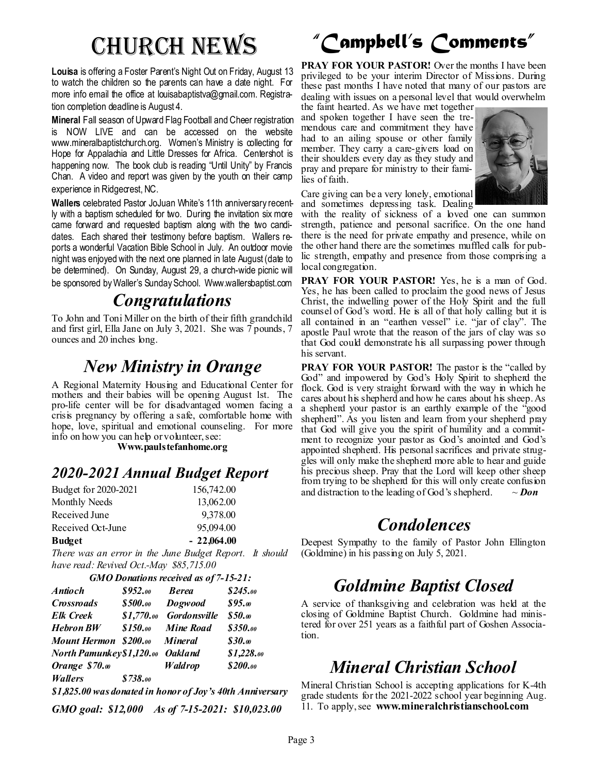**Louisa** is offering a Foster Parent's Night Out on Friday, August 13 to watch the children so the parents can have a date night. For more info email the office at louisabaptistva@gmail.com. Registration completion deadline is August 4.

**Mineral** Fall season of Upward Flag Football and Cheer registration is NOW LIVE and can be accessed on the website www.mineralbaptistchurch.org. Women's Ministry is collecting for Hope for Appalachia and Little Dresses for Africa. Centershot is happening now. The book club is reading "Until Unity" by Francis Chan. A video and report was given by the youth on their camp experience in Ridgecrest, NC.

**Wallers** celebrated Pastor JoJuan White's 11th anniversary recently with a baptism scheduled for two. During the invitation six more came forward and requested baptism along with the two candidates. Each shared their testimony before baptism. Wallers reports a wonderful Vacation Bible School in July. An outdoor movie night was enjoyed with the next one planned in late August (date to be determined). On Sunday, August 29, a church-wide picnic will be sponsored by Waller's Sunday School. Www.wallersbaptist.com

### *Congratulations*

To John and Toni Miller on the birth of their fifth grandchild and first girl, Ella Jane on July 3, 2021. She was 7 pounds, 7 ounces and 20 inches long.

### *New Ministry in Orange*

A Regional Maternity Housing and Educational Center for mothers and their babies will be opening August 1st. The pro-life center will be for disadvantaged women facing a crisis pregnancy by offering a safe, comfortable home with hope, love, spiritual and emotional counseling. For more info on how you can help or volunteer, see:

**Www.paulstefanhome.org**

### *2020-2021 Annual Budget Report*

| <b>Budget</b>        | $-22,064.00$ |
|----------------------|--------------|
| Received Oct-June    | 95,094.00    |
| Received June        | 9,378.00     |
| Monthly Needs        | 13,062.00    |
| Budget for 2020-2021 | 156,742.00   |

*There was an error in the June Budget Report. It should have read: Revived Oct.-May \$85,715.00*

| <b>GMO Donations received as of 7-15-21:</b> |  |
|----------------------------------------------|--|
|----------------------------------------------|--|

| <i><b>Antioch</b></i>     | \$952.00        | <b>Berea</b>        | \$245.00   |
|---------------------------|-----------------|---------------------|------------|
| Crossroads                | <b>\$500.00</b> | Dogwood             | \$95.00    |
| <b>Elk Creek</b>          | \$1,770.00      | <b>Gordonsville</b> | \$50.0     |
| <b>Hebron BW</b>          | \$150.00        | <b>Mine Road</b>    | \$350.00   |
| Mount Hermon \$200.00     |                 | <b>Mineral</b>      | \$30.0     |
| North Pamunkey \$1,120.00 |                 | <b>Oakland</b>      | \$1,228.00 |
| Orange \$70.00            |                 | Waldrop             | \$200.00   |
| <b>Wallers</b>            | \$738.00        |                     |            |
|                           |                 |                     |            |

*\$1,825.00 was donated in honor of Joy's 40th Anniversary*

*GMO goal: \$12,000 As of 7-15-2021: \$10,023.00*

# Church News *"Campbell's Comments"*

**PRAY FOR YOUR PASTOR!** Over the months I have been privileged to be your interim Director of Missions. During these past months I have noted that many of our pastors are dealing with issues on a personal level that would overwhelm

the faint hearted. As we have met together and spoken together I have seen the tremendous care and commitment they have had to an ailing spouse or other family member. They carry a care-givers load on their shoulders every day as they study and pray and prepare for ministry to their families of faith.



Care giving can be a very lonely, emotional and sometimes depressing task. Dealing

with the reality of sickness of a loved one can summon strength, patience and personal sacrifice. On the one hand there is the need for private empathy and presence, while on the other hand there are the sometimes muffled calls for public strength, empathy and presence from those comprising a local congregation.

**PRAY FOR YOUR PASTOR!** Yes, he is a man of God. Yes, he has been called to proclaim the good news of Jesus Christ, the indwelling power of the Holy Spirit and the full counsel of God's word. He is all of that holy calling but it is all contained in an "earthen vessel" i.e. "jar of clay". The apostle Paul wrote that the reason of the jars of clay was so that God could demonstrate his all surpassing power through his servant.

**PRAY FOR YOUR PASTOR!** The pastor is the "called by God" and impowered by God's Holy Spirit to shepherd the flock. God is very straight forward with the way in which he cares about his shepherd and how he cares about his sheep. As a shepherd your pastor is an earthly example of the "good shepherd". As you listen and learn from your shepherd pray that God will give you the spirit of humility and a commitment to recognize your pastor as God's anointed and God's appointed shepherd. His personal sacrifices and private struggles will only make the shepherd more able to hear and guide his precious sheep. Pray that the Lord will keep other sheep from trying to be shepherd for this will only create confusion and distraction to the leading of God's shepherd.  $\sim$  *Don* 

### *Condolences*

Deepest Sympathy to the family of Pastor John Ellington (Goldmine) in his passing on July 5, 2021.

### *Goldmine Baptist Closed*

A service of thanksgiving and celebration was held at the closing of Goldmine Baptist Church. Goldmine had ministered for over 251 years as a faithful part of Goshen Association.

## *Mineral Christian School*

Mineral Christian School is accepting applications for K-4th grade students for the 2021-2022 school year beginning Aug. 11. To apply, see **www.mineralchristianschool.com**